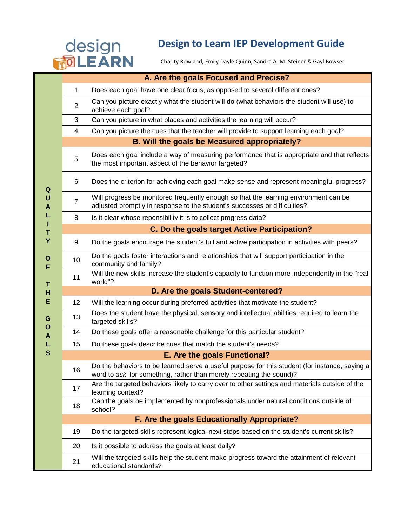## **Design to Learn IEP Development Guide<br>
TO LEARN** Charity Rowland, Emily Dayle Quinn, Sandra A. M. Steiner & Gayl Bowser

Charity Rowland, Emily Dayle Quinn, Sandra A. M. Steiner & Gayl Bowser

|                                                | A. Are the goals Focused and Precise?        |                                                                                                                                                                       |  |  |  |
|------------------------------------------------|----------------------------------------------|-----------------------------------------------------------------------------------------------------------------------------------------------------------------------|--|--|--|
| Q<br>U<br>A<br>L<br>L<br>Τ<br>Υ<br>O<br>F<br>T | $\mathbf{1}$                                 | Does each goal have one clear focus, as opposed to several different ones?                                                                                            |  |  |  |
|                                                | $\overline{2}$                               | Can you picture exactly what the student will do (what behaviors the student will use) to<br>achieve each goal?                                                       |  |  |  |
|                                                | 3                                            | Can you picture in what places and activities the learning will occur?                                                                                                |  |  |  |
|                                                | 4                                            | Can you picture the cues that the teacher will provide to support learning each goal?                                                                                 |  |  |  |
|                                                | B. Will the goals be Measured appropriately? |                                                                                                                                                                       |  |  |  |
|                                                | 5                                            | Does each goal include a way of measuring performance that is appropriate and that reflects<br>the most important aspect of the behavior targeted?                    |  |  |  |
|                                                | 6                                            | Does the criterion for achieving each goal make sense and represent meaningful progress?                                                                              |  |  |  |
|                                                | 7                                            | Will progress be monitored frequently enough so that the learning environment can be<br>adjusted promptly in response to the student's successes or difficulties?     |  |  |  |
|                                                | 8                                            | Is it clear whose reponsibility it is to collect progress data?                                                                                                       |  |  |  |
|                                                |                                              | C. Do the goals target Active Participation?                                                                                                                          |  |  |  |
|                                                | 9                                            | Do the goals encourage the student's full and active participation in activities with peers?                                                                          |  |  |  |
|                                                | 10                                           | Do the goals foster interactions and relationships that will support participation in the<br>community and family?                                                    |  |  |  |
|                                                | 11                                           | Will the new skills increase the student's capacity to function more independently in the "real<br>world"?                                                            |  |  |  |
| н                                              | D. Are the goals Student-centered?           |                                                                                                                                                                       |  |  |  |
| E<br>G                                         | 12 <sup>°</sup>                              | Will the learning occur during preferred activities that motivate the student?                                                                                        |  |  |  |
|                                                | 13                                           | Does the student have the physical, sensory and intellectual abilities required to learn the<br>targeted skills?                                                      |  |  |  |
| O<br>A                                         | 14                                           | Do these goals offer a reasonable challenge for this particular student?                                                                                              |  |  |  |
| L                                              | 15                                           | Do these goals describe cues that match the student's needs?                                                                                                          |  |  |  |
| S                                              |                                              | E. Are the goals Functional?                                                                                                                                          |  |  |  |
|                                                | 16                                           | Do the behaviors to be learned serve a useful purpose for this student (for instance, saying a<br>word to ask for something, rather than merely repeating the sound)? |  |  |  |
|                                                | 17                                           | Are the targeted behaviors likely to carry over to other settings and materials outside of the<br>learning context?                                                   |  |  |  |
|                                                | 18                                           | Can the goals be implemented by nonprofessionals under natural conditions outside of<br>school?                                                                       |  |  |  |
|                                                |                                              | F. Are the goals Educationally Appropriate?                                                                                                                           |  |  |  |
|                                                | 19                                           | Do the targeted skills represent logical next steps based on the student's current skills?                                                                            |  |  |  |
|                                                | 20                                           | Is it possible to address the goals at least daily?                                                                                                                   |  |  |  |
|                                                | 21                                           | Will the targeted skills help the student make progress toward the attainment of relevant<br>educational standards?                                                   |  |  |  |